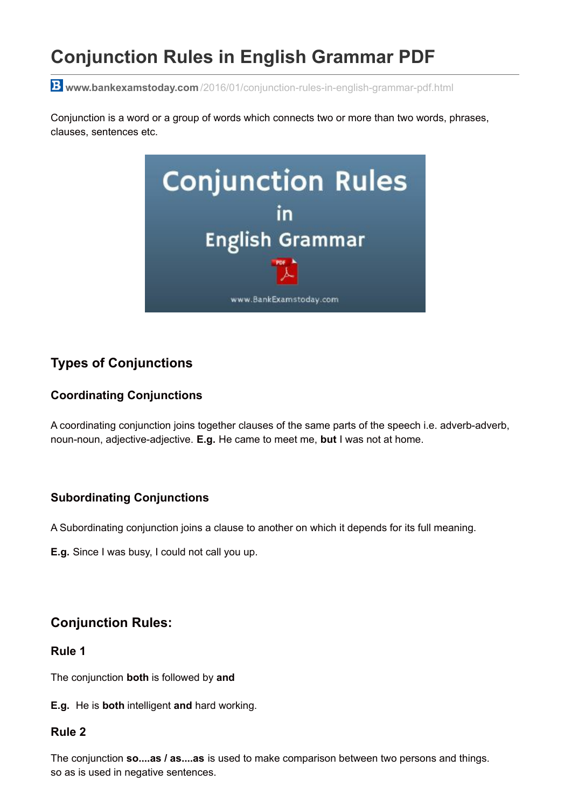# **Conjunction Rules in English Grammar PDF**

**www.bankexamstoday.com** [/2016/01/conjunction-rules-in-english-grammar-pdf.html](http://www.bankexamstoday.com/2016/01/conjunction-rules-in-english-grammar-pdf.html)

Conjunction is a word or a group of words which connects two or more than two words, phrases, clauses, sentences etc.



# **Types of Conjunctions**

# **Coordinating Conjunctions**

A coordinating conjunction joins together clauses of the same parts of the speech i.e. adverb-adverb, noun-noun, adjective-adjective. **E.g.** He came to meet me, **but** I was not at home.

# **Subordinating Conjunctions**

A Subordinating conjunction joins a clause to another on which it depends for its full meaning.

**E.g.** Since I was busy, I could not call you up.

# **Conjunction Rules:**

## **Rule 1**

The conjunction **both** is followed by **and**

**E.g.** He is **both** intelligent **and** hard working.

## **Rule 2**

The conjunction **so....as / as....as** is used to make comparison between two persons and things. so as is used in negative sentences.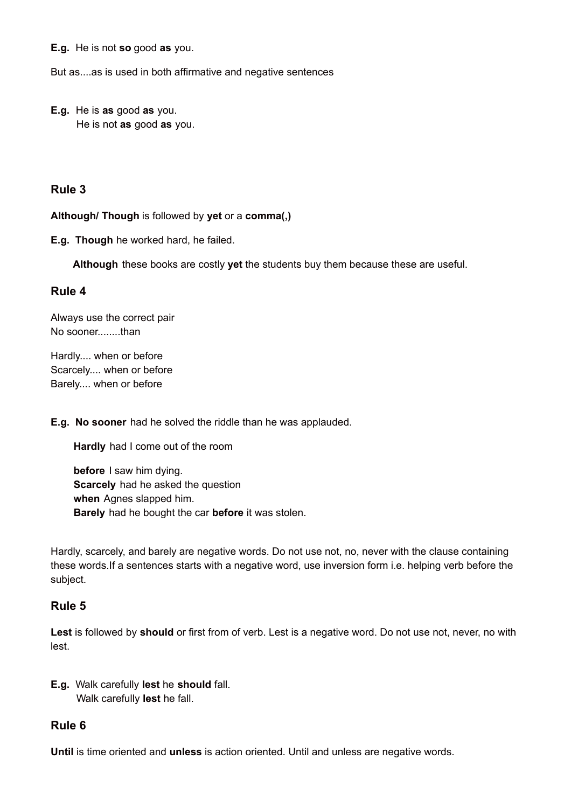**E.g.** He is not **so** good **as** you.

But as....as is used in both affirmative and negative sentences

**E.g.** He is **as** good **as** you. He is not **as** good **as** you.

#### **Rule 3**

**Although/ Though** is followed by **yet** or a **comma(,)**

**E.g. Though** he worked hard, he failed.

**Although** these books are costly **yet** the students buy them because these are useful.

#### **Rule 4**

Always use the correct pair No sooner........than

Hardly.... when or before Scarcely.... when or before Barely.... when or before

**E.g. No sooner** had he solved the riddle than he was applauded.

**Hardly** had I come out of the room

**before** I saw him dying. **Scarcely** had he asked the question **when** Agnes slapped him. **Barely** had he bought the car **before** it was stolen.

Hardly, scarcely, and barely are negative words. Do not use not, no, never with the clause containing these words.If a sentences starts with a negative word, use inversion form i.e. helping verb before the subject.

## **Rule 5**

**Lest** is followed by **should** or first from of verb. Lest is a negative word. Do not use not, never, no with lest.

**E.g.** Walk carefully **lest** he **should** fall. Walk carefully **lest** he fall.

## **Rule 6**

**Until** is time oriented and **unless** is action oriented. Until and unless are negative words.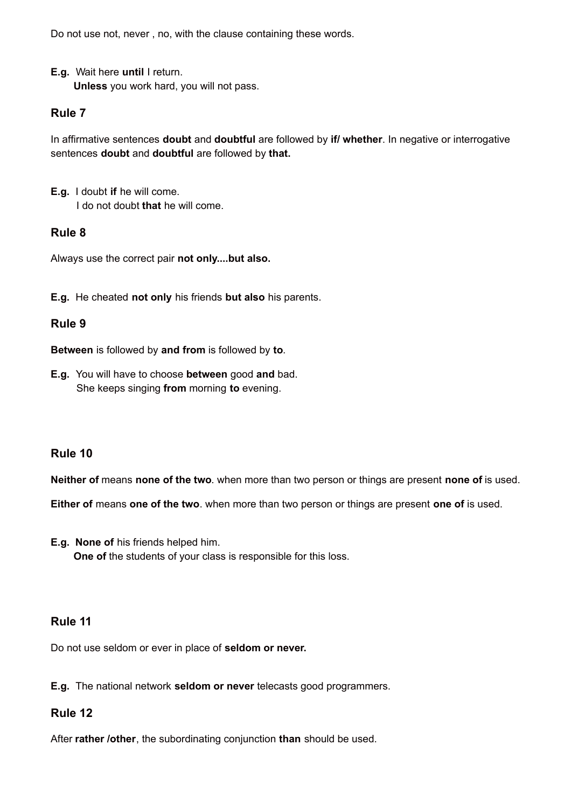Do not use not, never , no, with the clause containing these words.

**E.g.** Wait here **until** I return.

**Unless** you work hard, you will not pass.

#### **Rule 7**

In affirmative sentences **doubt** and **doubtful** are followed by **if/ whether**. In negative or interrogative sentences **doubt** and **doubtful** are followed by **that.**

**E.g.** I doubt **if** he will come. I do not doubt **that** he will come.

#### **Rule 8**

Always use the correct pair **not only....but also.**

**E.g.** He cheated **not only** his friends **but also** his parents.

#### **Rule 9**

**Between** is followed by **and from** is followed by **to**.

**E.g.** You will have to choose **between** good **and** bad. She keeps singing **from** morning **to** evening.

# **Rule 10**

**Neither of** means **none of the two**. when more than two person or things are present **none of** is used.

**Either of** means **one of the two**. when more than two person or things are present **one of** is used.

**E.g. None of** his friends helped him. **One of** the students of your class is responsible for this loss.

#### **Rule 11**

Do not use seldom or ever in place of **seldom or never.**

**E.g.** The national network **seldom or never** telecasts good programmers.

#### **Rule 12**

After **rather /other**, the subordinating conjunction **than** should be used.